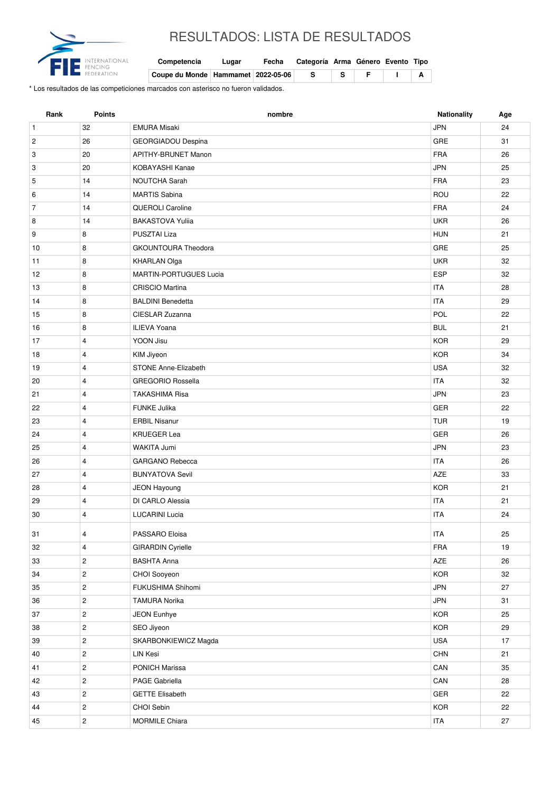

## RESULTADOS: LISTA DE RESULTADOS

| Competencia                            | Lugar | Fecha Categoría Arma Género Evento Tipo |         |  |
|----------------------------------------|-------|-----------------------------------------|---------|--|
| Coupe du Monde   Hammamet   2022-05-06 |       |                                         | - F - 1 |  |

\* Los resultados de las competiciones marcados con asterisco no fueron validados.

| Rank           | <b>Points</b>           | nombre                        | <b>Nationality</b> | Age |
|----------------|-------------------------|-------------------------------|--------------------|-----|
| $\mathbf{1}$   | 32                      | <b>EMURA Misaki</b>           | <b>JPN</b>         | 24  |
| $\sqrt{2}$     | 26                      | <b>GEORGIADOU Despina</b>     | GRE                | 31  |
| 3              | 20                      | APITHY-BRUNET Manon           | <b>FRA</b>         | 26  |
| 3              | 20                      | KOBAYASHI Kanae               | <b>JPN</b>         | 25  |
| 5              | 14                      | <b>NOUTCHA Sarah</b>          | <b>FRA</b>         | 23  |
| 6              | 14                      | <b>MARTIS Sabina</b>          | ROU                | 22  |
| $\overline{7}$ | 14                      | <b>QUEROLI Caroline</b>       | <b>FRA</b>         | 24  |
| 8              | 14                      | <b>BAKASTOVA Yulija</b>       | <b>UKR</b>         | 26  |
| 9              | 8                       | PUSZTAI Liza                  | <b>HUN</b>         | 21  |
| 10             | 8                       | <b>GKOUNTOURA Theodora</b>    | GRE                | 25  |
| 11             | 8                       | <b>KHARLAN Olga</b>           | <b>UKR</b>         | 32  |
| 12             | 8                       | <b>MARTIN-PORTUGUES Lucia</b> | <b>ESP</b>         | 32  |
| 13             | 8                       | <b>CRISCIO Martina</b>        | <b>ITA</b>         | 28  |
| 14             | 8                       | <b>BALDINI Benedetta</b>      | <b>ITA</b>         | 29  |
| 15             | 8                       | CIESLAR Zuzanna               | POL                | 22  |
| 16             | 8                       | <b>ILIEVA Yoana</b>           | <b>BUL</b>         | 21  |
| 17             | $\overline{4}$          | YOON Jisu                     | <b>KOR</b>         | 29  |
| 18             | 4                       | KIM Jiyeon                    | <b>KOR</b>         | 34  |
| 19             | 4                       | <b>STONE Anne-Elizabeth</b>   | <b>USA</b>         | 32  |
| 20             | 4                       | <b>GREGORIO Rossella</b>      | <b>ITA</b>         | 32  |
| 21             | 4                       | <b>TAKASHIMA Risa</b>         | <b>JPN</b>         | 23  |
| 22             | $\overline{4}$          | <b>FUNKE Julika</b>           | <b>GER</b>         | 22  |
| 23             | 4                       | <b>ERBIL Nisanur</b>          | <b>TUR</b>         | 19  |
| 24             | $\overline{4}$          | <b>KRUEGER Lea</b>            | <b>GER</b>         | 26  |
| 25             | 4                       | WAKITA Jumi                   | <b>JPN</b>         | 23  |
| 26             | 4                       | <b>GARGANO Rebecca</b>        | <b>ITA</b>         | 26  |
| 27             | 4                       | <b>BUNYATOVA Sevil</b>        | <b>AZE</b>         | 33  |
| 28             | $\overline{4}$          | <b>JEON Hayoung</b>           | <b>KOR</b>         | 21  |
| 29             | 4                       | DI CARLO Alessia              | <b>ITA</b>         | 21  |
| 30             | 4                       | <b>LUCARINI Lucia</b>         | <b>ITA</b>         | 24  |
| 31             | 4                       | PASSARO Eloisa                | <b>ITA</b>         | 25  |
| 32             | 4                       | <b>GIRARDIN Cyrielle</b>      | FRA                | 19  |
| 33             | $\overline{c}$          | <b>BASHTA Anna</b>            | AZE                | 26  |
| 34             | $\overline{c}$          | CHOI Sooyeon                  | <b>KOR</b>         | 32  |
| 35             | $\overline{\mathbf{c}}$ | FUKUSHIMA Shihomi             | <b>JPN</b>         | 27  |
| 36             | $\overline{c}$          | <b>TAMURA Norika</b>          | <b>JPN</b>         | 31  |
| 37             | $\overline{c}$          | JEON Eunhye                   | <b>KOR</b>         | 25  |
| 38             | $\overline{c}$          | SEO Jiyeon                    | KOR                | 29  |
| 39             | $\mathbf{2}$            | SKARBONKIEWICZ Magda          | <b>USA</b>         | 17  |
| 40             | $\mathbf{2}$            | LIN Kesi                      | CHN                | 21  |
| 41             | $\mathbf{2}$            | PONICH Marissa                | CAN                | 35  |
| 42             | $\mathbf{2}$            | PAGE Gabriella                | CAN                | 28  |
| 43             | $\mathbf{2}$            | <b>GETTE Elisabeth</b>        | GER                | 22  |
| 44             | $\mathbf{2}$            | CHOI Sebin                    | KOR                | 22  |
| 45             | $\overline{2}$          | MORMILE Chiara                | <b>ITA</b>         | 27  |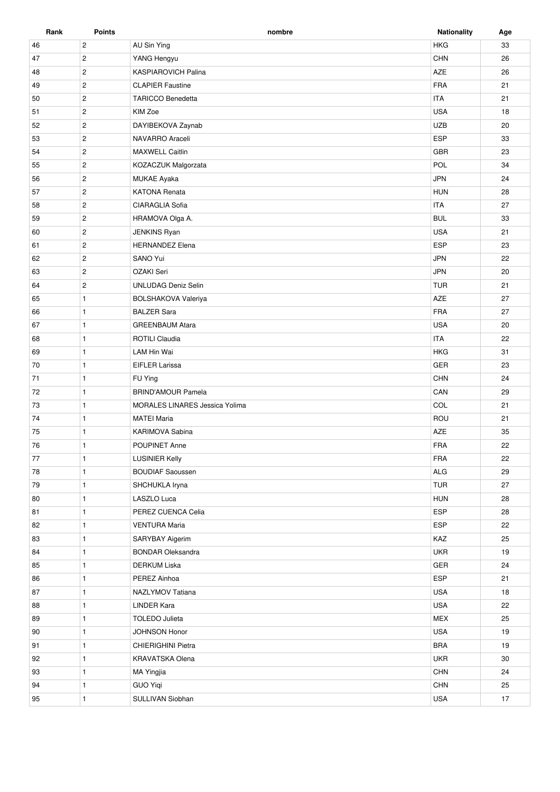| Rank   | Points         | nombre                                | <b>Nationality</b> | Age |
|--------|----------------|---------------------------------------|--------------------|-----|
| 46     | $\overline{c}$ | AU Sin Ying                           | <b>HKG</b>         | 33  |
| 47     | $\mathbf{2}$   | YANG Hengyu                           | <b>CHN</b>         | 26  |
| 48     | $\overline{c}$ | <b>KASPIAROVICH Palina</b>            | AZE                | 26  |
| 49     | $\mathbf{2}$   | <b>CLAPIER Faustine</b>               | <b>FRA</b>         | 21  |
| 50     | $\mathbf{2}$   | <b>TARICCO Benedetta</b>              | <b>ITA</b>         | 21  |
| 51     | $\overline{c}$ | KIM Zoe                               | <b>USA</b>         | 18  |
| 52     | $\overline{c}$ | DAYIBEKOVA Zaynab                     | <b>UZB</b>         | 20  |
| 53     | $\overline{2}$ | NAVARRO Araceli                       | ESP                | 33  |
| 54     | $\overline{2}$ | <b>MAXWELL Caitlin</b>                | <b>GBR</b>         | 23  |
| 55     | $\sqrt{2}$     | KOZACZUK Malgorzata                   | POL                | 34  |
| 56     | $\overline{c}$ | MUKAE Ayaka                           | <b>JPN</b>         | 24  |
| 57     | $\overline{2}$ | <b>KATONA Renata</b>                  | <b>HUN</b>         | 28  |
| 58     | $\overline{2}$ | CIARAGLIA Sofia                       | <b>ITA</b>         | 27  |
| 59     | $\mathbf{2}$   | HRAMOVA Olga A.                       | <b>BUL</b>         | 33  |
| 60     | $\overline{2}$ | JENKINS Ryan                          | <b>USA</b>         | 21  |
| 61     | $\overline{2}$ | <b>HERNANDEZ Elena</b>                | ESP                | 23  |
| 62     | $\overline{2}$ | SANO Yui                              | <b>JPN</b>         | 22  |
| 63     | $\overline{c}$ | OZAKI Seri                            | <b>JPN</b>         | 20  |
| 64     | $\overline{2}$ | <b>UNLUDAG Deniz Selin</b>            | <b>TUR</b>         | 21  |
| 65     | $\mathbf{1}$   | BOLSHAKOVA Valeriya                   | AZE                | 27  |
| 66     | $\mathbf{1}$   | <b>BALZER Sara</b>                    | <b>FRA</b>         | 27  |
| 67     | $\mathbf{1}$   | <b>GREENBAUM Atara</b>                | <b>USA</b>         | 20  |
| 68     | $\mathbf{1}$   | ROTILI Claudia                        | <b>ITA</b>         | 22  |
| 69     | $\mathbf{1}$   | LAM Hin Wai                           | <b>HKG</b>         | 31  |
| 70     | $\mathbf{1}$   | <b>EIFLER Larissa</b>                 | GER                | 23  |
| 71     | $\mathbf{1}$   | FU Ying                               | <b>CHN</b>         | 24  |
| 72     | $\mathbf{1}$   | <b>BRIND'AMOUR Pamela</b>             | CAN                | 29  |
| 73     | $\mathbf{1}$   | <b>MORALES LINARES Jessica Yolima</b> | COL                | 21  |
| 74     | $\mathbf{1}$   | <b>MATEI Maria</b>                    | ROU                | 21  |
| 75     | $\mathbf{1}$   | KARIMOVA Sabina                       | AZE                | 35  |
| 76     | $\mathbf{1}$   | POUPINET Anne                         | <b>FRA</b>         | 22  |
| $77\,$ | $\mathbf{1}$   | <b>LUSINIER Kelly</b>                 | FRA                | 22  |
| 78     | $\mathbf{1}$   | <b>BOUDIAF Saoussen</b>               | $\mathsf{ALG}$     | 29  |
| 79     | $\mathbf{1}$   | SHCHUKLA Iryna                        | <b>TUR</b>         | 27  |
| 80     | $\mathbf{1}$   | LASZLO Luca                           | <b>HUN</b>         | 28  |
| 81     | $\mathbf{1}$   | PEREZ CUENCA Celia                    | ESP                | 28  |
| 82     | $\mathbf{1}$   | <b>VENTURA Maria</b>                  | ESP                | 22  |
| 83     | $\mathbf{1}$   | SARYBAY Aigerim                       | KAZ                | 25  |
| 84     | $\mathbf{1}$   | <b>BONDAR Oleksandra</b>              | <b>UKR</b>         | 19  |
| 85     | $\mathbf{1}$   | <b>DERKUM Liska</b>                   | GER                | 24  |
| 86     | $\mathbf{1}$   | PEREZ Ainhoa                          | ESP                | 21  |
| 87     | $\mathbf{1}$   | NAZLYMOV Tatiana                      | <b>USA</b>         | 18  |
| 88     | $\mathbf{1}$   | <b>LINDER Kara</b>                    | <b>USA</b>         | 22  |
| 89     | $\mathbf{1}$   | <b>TOLEDO Julieta</b>                 | <b>MEX</b>         | 25  |
| 90     | $\mathbf{1}$   | JOHNSON Honor                         | <b>USA</b>         | 19  |
| 91     | $\mathbf{1}$   | <b>CHIERIGHINI Pietra</b>             | <b>BRA</b>         | 19  |
| 92     | $\mathbf{1}$   | KRAVATSKA Olena                       | <b>UKR</b>         | 30  |
| 93     | $\mathbf{1}$   | MA Yingjia                            | CHN                | 24  |
| 94     | $\mathbf{1}$   | <b>GUO Yiqi</b>                       | $\textsf{CHN}{}$   | 25  |
|        |                |                                       |                    |     |
| 95     | $\mathbf{1}$   | SULLIVAN Siobhan                      | <b>USA</b>         | 17  |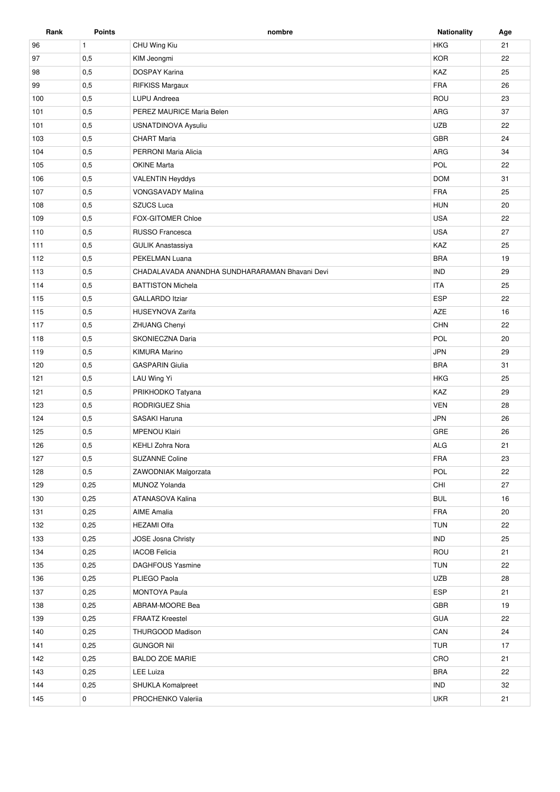| Rank | <b>Points</b> | nombre                                         | <b>Nationality</b> | Age |
|------|---------------|------------------------------------------------|--------------------|-----|
| 96   | $\mathbf{1}$  | CHU Wing Kiu                                   | <b>HKG</b>         | 21  |
| 97   | 0,5           | KIM Jeongmi                                    | <b>KOR</b>         | 22  |
| 98   | 0,5           | <b>DOSPAY Karina</b>                           | KAZ                | 25  |
| 99   | 0,5           | RIFKISS Margaux                                | <b>FRA</b>         | 26  |
| 100  | 0,5           | LUPU Andreea                                   | ROU                | 23  |
| 101  | 0,5           | PEREZ MAURICE Maria Belen                      | ARG                | 37  |
| 101  | 0,5           | <b>USNATDINOVA Aysuliu</b>                     | <b>UZB</b>         | 22  |
| 103  | 0,5           | <b>CHART Maria</b>                             | GBR                | 24  |
| 104  | 0,5           | PERRONI Maria Alicia                           | ARG                | 34  |
| 105  | 0,5           | <b>OKINE Marta</b>                             | POL                | 22  |
| 106  | 0,5           | <b>VALENTIN Heyddys</b>                        | <b>DOM</b>         | 31  |
| 107  | 0,5           | <b>VONGSAVADY Malina</b>                       | <b>FRA</b>         | 25  |
| 108  | 0,5           | <b>SZUCS Luca</b>                              | <b>HUN</b>         | 20  |
| 109  | 0,5           | <b>FOX-GITOMER Chloe</b>                       | <b>USA</b>         | 22  |
| 110  | 0,5           | RUSSO Francesca                                | <b>USA</b>         | 27  |
| 111  | 0,5           | <b>GULIK Anastassiya</b>                       | KAZ                | 25  |
| 112  | 0,5           | PEKELMAN Luana                                 | <b>BRA</b>         | 19  |
| 113  | 0,5           | CHADALAVADA ANANDHA SUNDHARARAMAN Bhavani Devi | <b>IND</b>         | 29  |
| 114  | 0,5           | <b>BATTISTON Michela</b>                       | <b>ITA</b>         | 25  |
| 115  | 0,5           | <b>GALLARDO Itziar</b>                         | <b>ESP</b>         | 22  |
| 115  | 0,5           | <b>HUSEYNOVA Zarifa</b>                        | AZE                | 16  |
| 117  | 0,5           | ZHUANG Chenyi                                  | CHN                | 22  |
| 118  | 0,5           | SKONIECZNA Daria                               | POL                | 20  |
| 119  | 0,5           | <b>KIMURA Marino</b>                           | <b>JPN</b>         | 29  |
| 120  | 0,5           | <b>GASPARIN Giulia</b>                         | <b>BRA</b>         | 31  |
| 121  | 0,5           | LAU Wing Yi                                    | <b>HKG</b>         | 25  |
| 121  | 0,5           | PRIKHODKO Tatyana                              | KAZ                | 29  |
| 123  | 0,5           | RODRIGUEZ Shia                                 | <b>VEN</b>         | 28  |
| 124  | 0,5           | <b>SASAKI Haruna</b>                           | <b>JPN</b>         | 26  |
| 125  | 0,5           | <b>MPENOU Klairi</b>                           | GRE                | 26  |
| 126  | 0,5           | <b>KEHLI Zohra Nora</b>                        | <b>ALG</b>         | 21  |
| 127  | 0,5           | SUZANNE Coline                                 | <b>FRA</b>         | 23  |
| 128  | 0,5           | ZAWODNIAK Malgorzata                           | POL                | 22  |
| 129  | 0,25          | MUNOZ Yolanda                                  | CHI                | 27  |
| 130  | 0,25          | ATANASOVA Kalina                               | <b>BUL</b>         | 16  |
| 131  | 0,25          | <b>AIME Amalia</b>                             | FRA                | 20  |
| 132  | 0,25          | <b>HEZAMI Olfa</b>                             | <b>TUN</b>         | 22  |
| 133  | 0,25          | <b>JOSE Josna Christy</b>                      | <b>IND</b>         | 25  |
| 134  | 0,25          | <b>IACOB Felicia</b>                           | ROU                | 21  |
| 135  | 0,25          | <b>DAGHFOUS Yasmine</b>                        | <b>TUN</b>         | 22  |
| 136  | 0,25          | PLIEGO Paola                                   | <b>UZB</b>         | 28  |
| 137  | 0,25          | <b>MONTOYA Paula</b>                           | <b>ESP</b>         | 21  |
| 138  | 0,25          | ABRAM-MOORE Bea                                | GBR                | 19  |
| 139  | 0,25          | <b>FRAATZ Kreestel</b>                         | <b>GUA</b>         | 22  |
| 140  | 0,25          | THURGOOD Madison                               | CAN                | 24  |
| 141  | 0,25          | <b>GUNGOR Nil</b>                              | <b>TUR</b>         | 17  |
| 142  | 0,25          | <b>BALDO ZOE MARIE</b>                         | CRO                | 21  |
| 143  | 0,25          | <b>LEE Luiza</b>                               | <b>BRA</b>         | 22  |
| 144  | 0,25          | SHUKLA Komalpreet                              | <b>IND</b>         | 32  |
|      |               |                                                |                    |     |
| 145  | 0             | PROCHENKO Valeriia                             | <b>UKR</b>         | 21  |